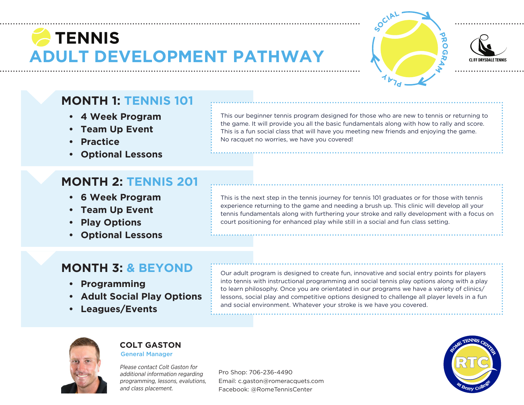# **ADULT DEVELOPMENT PATHWAY TENNIS**





### **MONTH 1: TENNIS 101**

- **• 4 Week Program**
- **• Team Up Event**
- **• Practice**
- **• Optional Lessons**

### **MONTH 2: TENNIS 201**

- **• 6 Week Program**
- **• Team Up Event**
- **• Play Options**
- **• Optional Lessons**

This our beginner tennis program designed for those who are new to tennis or returning to the game. It will provide you all the basic fundamentals along with how to rally and score. This is a fun social class that will have you meeting new friends and enjoying the game. No racquet no worries, we have you covered!

This is the next step in the tennis journey for tennis 101 graduates or for those with tennis experience returning to the game and needing a brush up. This clinic will develop all your tennis fundamentals along with furthering your stroke and rally development with a focus on court positioning for enhanced play while still in a social and fun class setting.

### **MONTH 3: & BEYOND**

- **• Programming**
- **• Adult Social Play Options**
- **• Leagues/Events**

Our adult program is designed to create fun, innovative and social entry points for players into tennis with instructional programming and social tennis play options along with a play to learn philosophy. Once you are orientated in our programs we have a variety of clinics/ lessons, social play and competitive options designed to challenge all player levels in a fun and social environment. Whatever your stroke is we have you covered.



#### **COLT GASTON** General Manager

Please contact Colt Gaston for additional information regarding programming, lessons, evalutions, and class placement.

Pro Shop: 706-236-4490 Email: c.gaston@romeracquets.com Facebook: @RomeTennisCenter